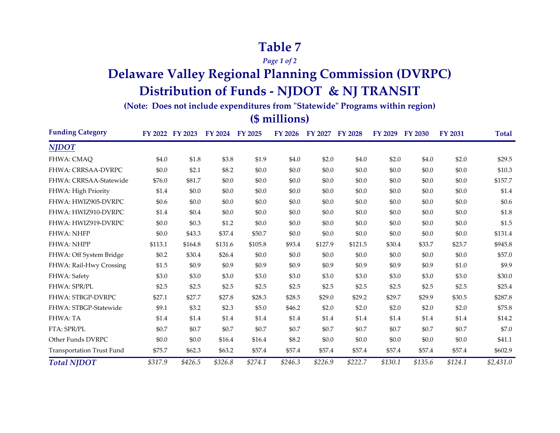## **Table 7**

*Page 1 of 2*

# **Delaware Valley Regional Planning Commission (DVRPC) Distribution of Funds - NJDOT & NJ TRANSIT**

**(Note: Does not include expenditures from "Statewide" Programs within region)**

#### **(\$ millions)**

| <b>Funding Category</b>   | FY 2022 | FY 2023  | <b>FY 2024</b> | FY 2025 | <b>FY 2026</b> | FY 2027 | <b>FY 2028</b> | FY 2029 | <b>FY 2030</b> | <b>FY 2031</b> | <b>Total</b> |
|---------------------------|---------|----------|----------------|---------|----------------|---------|----------------|---------|----------------|----------------|--------------|
| <b>NJDOT</b>              |         |          |                |         |                |         |                |         |                |                |              |
| FHWA: CMAQ                | \$4.0   | \$1.8    | \$3.8          | \$1.9   | \$4.0          | \$2.0   | \$4.0          | \$2.0   | \$4.0          | \$2.0          | \$29.5       |
| <b>FHWA: CRRSAA-DVRPC</b> | \$0.0   | \$2.1    | \$8.2          | \$0.0   | \$0.0          | \$0.0   | \$0.0          | \$0.0   | \$0.0          | \$0.0          | \$10.3       |
| FHWA: CRRSAA-Statewide    | \$76.0  | \$81.7   | \$0.0          | \$0.0   | \$0.0          | \$0.0   | \$0.0          | \$0.0   | \$0.0          | \$0.0          | \$157.7      |
| FHWA: High Priority       | \$1.4   | \$0.0    | \$0.0          | \$0.0   | \$0.0          | \$0.0   | \$0.0          | \$0.0   | \$0.0          | \$0.0          | \$1.4        |
| FHWA: HWIZ905-DVRPC       | \$0.6   | \$0.0    | \$0.0          | \$0.0   | \$0.0          | \$0.0   | \$0.0          | \$0.0   | \$0.0          | \$0.0          | \$0.6        |
| FHWA: HWIZ910-DVRPC       | \$1.4   | \$0.4    | \$0.0          | \$0.0   | \$0.0          | \$0.0   | \$0.0          | \$0.0   | \$0.0          | \$0.0          | \$1.8        |
| FHWA: HWIZ919-DVRPC       | \$0.0   | \$0.3\$  | \$1.2          | \$0.0   | \$0.0          | \$0.0   | \$0.0          | \$0.0   | \$0.0          | \$0.0          | \$1.5        |
| <b>FHWA: NHFP</b>         | \$0.0   | \$43.3   | \$37.4         | \$50.7  | \$0.0          | \$0.0   | \$0.0          | \$0.0   | \$0.0          | \$0.0          | \$131.4      |
| FHWA: NHPP                | \$113.1 | \$164.8  | \$131.6        | \$105.8 | \$93.4         | \$127.9 | \$121.5        | \$30.4  | \$33.7         | \$23.7         | \$945.8      |
| FHWA: Off System Bridge   | \$0.2\$ | \$30.4   | \$26.4         | \$0.0   | \$0.0          | \$0.0   | \$0.0          | \$0.0   | \$0.0          | \$0.0          | \$57.0       |
| FHWA: Rail-Hwy Crossing   | \$1.5   | \$0.9    | \$0.9          | \$0.9   | \$0.9          | \$0.9   | \$0.9          | \$0.9   | \$0.9          | \$1.0          | \$9.9        |
| FHWA: Safety              | \$3.0   | \$3.0    | \$3.0          | \$3.0   | \$3.0          | \$3.0   | \$3.0          | \$3.0   | \$3.0          | \$3.0          | \$30.0       |
| FHWA: SPR/PL              | \$2.5   | \$2.5    | \$2.5          | \$2.5   | \$2.5          | \$2.5   | \$2.5          | \$2.5   | \$2.5          | \$2.5          | \$25.4       |
| FHWA: STBGP-DVRPC         | \$27.1  | \$27.7   | \$27.8         | \$28.3  | \$28.5         | \$29.0  | \$29.2         | \$29.7  | \$29.9         | \$30.5         | \$287.8      |
| FHWA: STBGP-Statewide     | \$9.1   | \$3.2    | \$2.3          | \$5.0   | \$46.2         | \$2.0   | \$2.0          | \$2.0   | \$2.0          | \$2.0          | \$75.8       |
| FHWA: TA                  | \$1.4   | \$1.4    | \$1.4          | \$1.4   | \$1.4          | \$1.4   | \$1.4          | \$1.4   | \$1.4          | \$1.4          | \$14.2       |
| FTA: SPR/PL               | \$0.7   | \$0.7    | \$0.7          | \$0.7   | \$0.7          | \$0.7   | \$0.7          | \$0.7   | \$0.7          | \$0.7          | \$7.0        |
| Other Funds DVRPC         | \$0.0   | \$0.0    | \$16.4         | \$16.4  | \$8.2          | \$0.0   | \$0.0          | \$0.0   | \$0.0          | \$0.0          | \$41.1       |
| Transportation Trust Fund | \$75.7  | \$62.3\$ | \$63.2         | \$57.4  | \$57.4         | \$57.4  | \$57.4         | \$57.4  | \$57.4         | \$57.4         | \$602.9      |
| <b>Total NJDOT</b>        | \$317.9 | \$426.5  | \$326.8        | \$274.1 | \$246.3        | \$226.9 | \$222.7        | \$130.1 | \$135.6        | \$124.1        | \$2,431.0    |